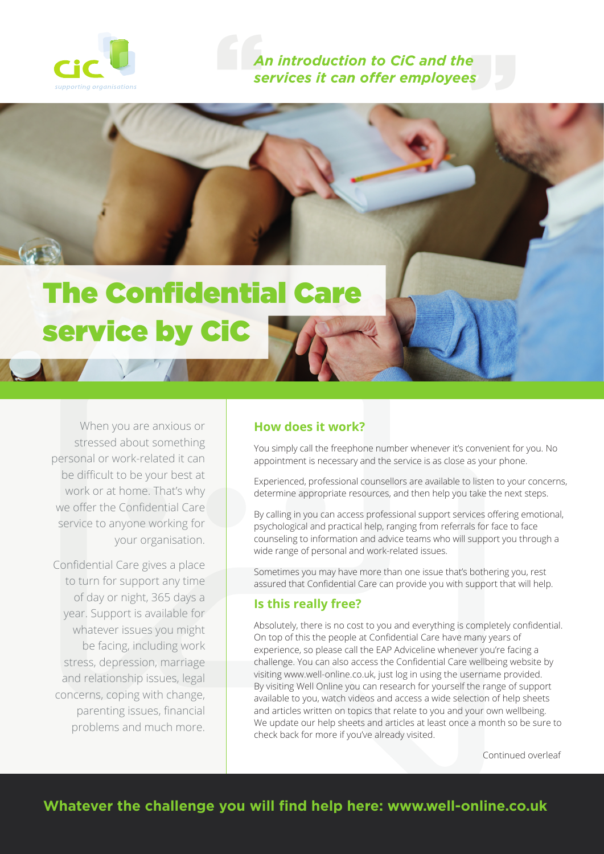

An introduction to CiC and the<br>services it can offer employees *services it can offer employees*

# The Confidential Care service by CiC

When you are anxious or stressed about something personal or work-related it can be difficult to be your best at work or at home. That's why we offer the Confidential Care service to anyone working for your organisation.

Confidential Care gives a place to turn for support any time of day or night, 365 days a year. Support is available for whatever issues you might be facing, including work stress, depression, marriage and relationship issues, legal concerns, coping with change, parenting issues, financial problems and much more.

# **How does it work?**

You simply call the freephone number whenever it's convenient for you. No appointment is necessary and the service is as close as your phone.

Experienced, professional counsellors are available to listen to your concerns, determine appropriate resources, and then help you take the next steps.

By calling in you can access professional support services offering emotional, psychological and practical help, ranging from referrals for face to face counseling to information and advice teams who will support you through a wide range of personal and work-related issues.

Sometimes you may have more than one issue that's bothering you, rest assured that Confidential Care can provide you with support that will help.

### **Is this really free?**

Absolutely, there is no cost to you and everything is completely confidential. On top of this the people at Confidential Care have many years of experience, so please call the EAP Adviceline whenever you're facing a challenge. You can also access the Confidential Care wellbeing website by visiting www.well-online.co.uk, just log in using the username provided. By visiting Well Online you can research for yourself the range of support available to you, watch videos and access a wide selection of help sheets and articles written on topics that relate to you and your own wellbeing. We update our help sheets and articles at least once a month so be sure to check back for more if you've already visited.

Continued overleaf